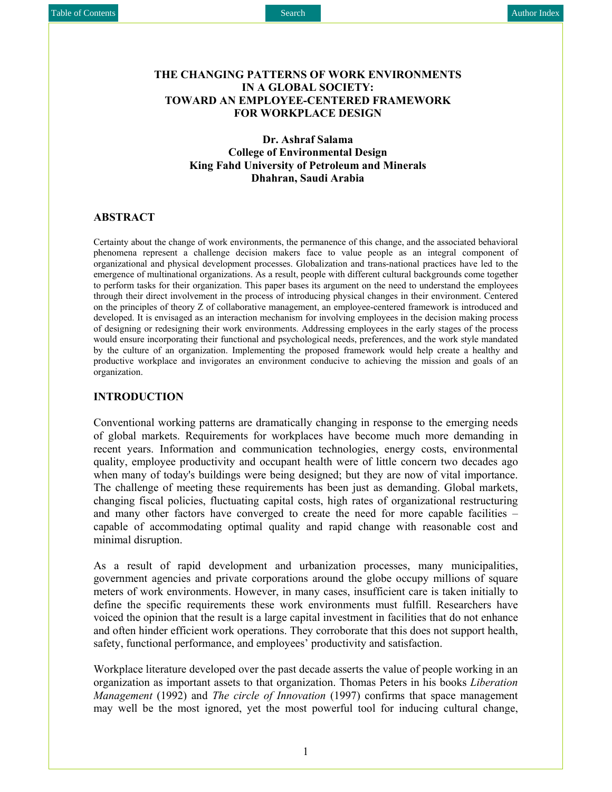### **THE CHANGING PATTERNS OF WORK ENVIRONMENTS IN A GLOBAL SOCIETY: TOWARD AN EMPLOYEE-CENTERED FRAMEWORK FOR WORKPLACE DESIGN**

**Dr. Ashraf Salama College of Environmental Design King Fahd University of Petroleum and Minerals Dhahran, Saudi Arabia** 

#### **ABSTRACT**

Certainty about the change of work environments, the permanence of this change, and the associated behavioral phenomena represent a challenge decision makers face to value people as an integral component of organizational and physical development processes. Globalization and trans-national practices have led to the emergence of multinational organizations. As a result, people with different cultural backgrounds come together to perform tasks for their organization. This paper bases its argument on the need to understand the employees through their direct involvement in the process of introducing physical changes in their environment. Centered on the principles of theory Z of collaborative management, an employee-centered framework is introduced and developed. It is envisaged as an interaction mechanism for involving employees in the decision making process of designing or redesigning their work environments. Addressing employees in the early stages of the process would ensure incorporating their functional and psychological needs, preferences, and the work style mandated by the culture of an organization. Implementing the proposed framework would help create a healthy and productive workplace and invigorates an environment conducive to achieving the mission and goals of an organization.

### **INTRODUCTION**

Conventional working patterns are dramatically changing in response to the emerging needs of global markets. Requirements for workplaces have become much more demanding in recent years. Information and communication technologies, energy costs, environmental quality, employee productivity and occupant health were of little concern two decades ago when many of today's buildings were being designed; but they are now of vital importance. The challenge of meeting these requirements has been just as demanding. Global markets, changing fiscal policies, fluctuating capital costs, high rates of organizational restructuring and many other factors have converged to create the need for more capable facilities – capable of accommodating optimal quality and rapid change with reasonable cost and minimal disruption.

As a result of rapid development and urbanization processes, many municipalities, government agencies and private corporations around the globe occupy millions of square meters of work environments. However, in many cases, insufficient care is taken initially to define the specific requirements these work environments must fulfill. Researchers have voiced the opinion that the result is a large capital investment in facilities that do not enhance and often hinder efficient work operations. They corroborate that this does not support health, safety, functional performance, and employees' productivity and satisfaction.

Workplace literature developed over the past decade asserts the value of people working in an organization as important assets to that organization. Thomas Peters in his books *Liberation Management* (1992) and *The circle of Innovation* (1997) confirms that space management may well be the most ignored, yet the most powerful tool for inducing cultural change,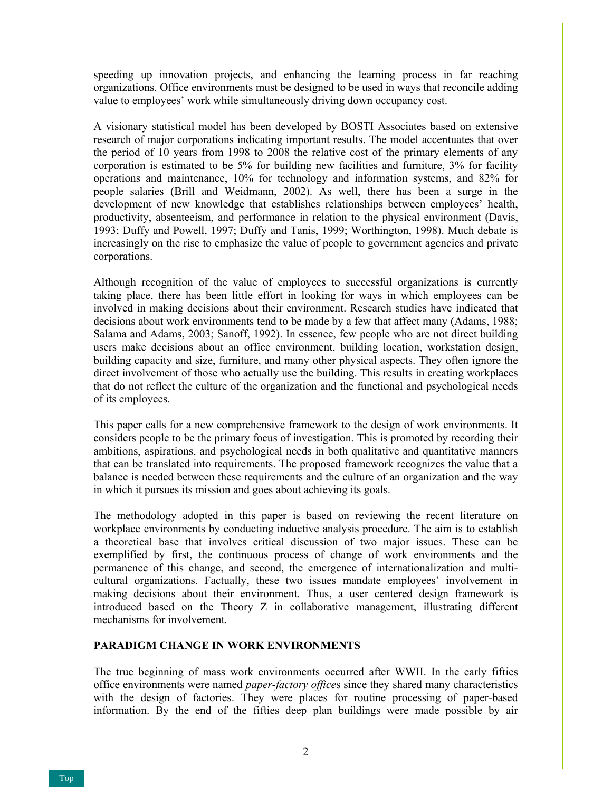speeding up innovation projects, and enhancing the learning process in far reaching organizations. Office environments must be designed to be used in ways that reconcile adding value to employees' work while simultaneously driving down occupancy cost.

A visionary statistical model has been developed by BOSTI Associates based on extensive research of major corporations indicating important results. The model accentuates that over the period of 10 years from 1998 to 2008 the relative cost of the primary elements of any corporation is estimated to be 5% for building new facilities and furniture, 3% for facility operations and maintenance, 10% for technology and information systems, and 82% for people salaries (Brill and Weidmann, 2002). As well, there has been a surge in the development of new knowledge that establishes relationships between employees' health, productivity, absenteeism, and performance in relation to the physical environment (Davis, 1993; Duffy and Powell, 1997; Duffy and Tanis, 1999; Worthington, 1998). Much debate is increasingly on the rise to emphasize the value of people to government agencies and private corporations.

Although recognition of the value of employees to successful organizations is currently taking place, there has been little effort in looking for ways in which employees can be involved in making decisions about their environment. Research studies have indicated that decisions about work environments tend to be made by a few that affect many (Adams, 1988; Salama and Adams, 2003; Sanoff, 1992). In essence, few people who are not direct building users make decisions about an office environment, building location, workstation design, building capacity and size, furniture, and many other physical aspects. They often ignore the direct involvement of those who actually use the building. This results in creating workplaces that do not reflect the culture of the organization and the functional and psychological needs of its employees.

This paper calls for a new comprehensive framework to the design of work environments. It considers people to be the primary focus of investigation. This is promoted by recording their ambitions, aspirations, and psychological needs in both qualitative and quantitative manners that can be translated into requirements. The proposed framework recognizes the value that a balance is needed between these requirements and the culture of an organization and the way in which it pursues its mission and goes about achieving its goals.

The methodology adopted in this paper is based on reviewing the recent literature on workplace environments by conducting inductive analysis procedure. The aim is to establish a theoretical base that involves critical discussion of two major issues. These can be exemplified by first, the continuous process of change of work environments and the permanence of this change, and second, the emergence of internationalization and multicultural organizations. Factually, these two issues mandate employees' involvement in making decisions about their environment. Thus, a user centered design framework is introduced based on the Theory Z in collaborative management, illustrating different mechanisms for involvement.

### **PARADIGM CHANGE IN WORK ENVIRONMENTS**

The true beginning of mass work environments occurred after WWII. In the early fifties office environments were named *paper-factory office*s since they shared many characteristics with the design of factories. They were places for routine processing of paper-based information. By the end of the fifties deep plan buildings were made possible by air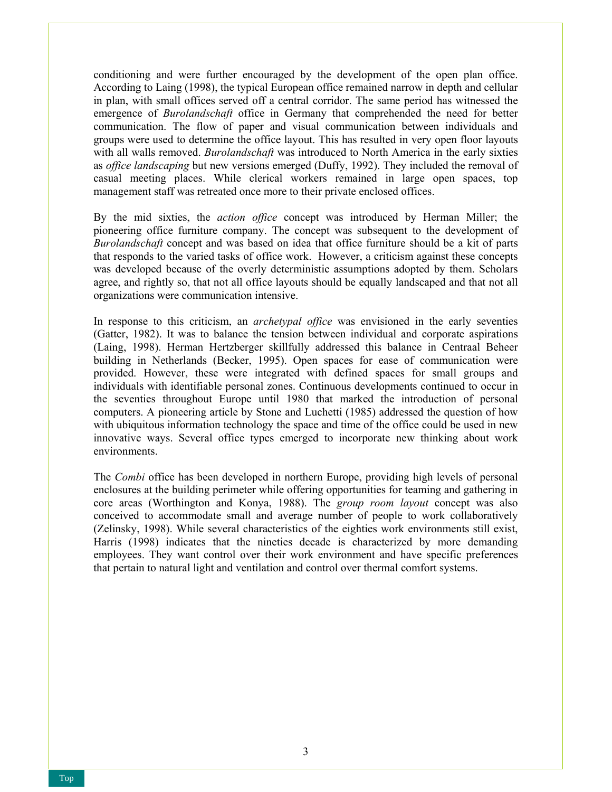conditioning and were further encouraged by the development of the open plan office. According to Laing (1998), the typical European office remained narrow in depth and cellular in plan, with small offices served off a central corridor. The same period has witnessed the emergence of *Burolandschaft* office in Germany that comprehended the need for better communication. The flow of paper and visual communication between individuals and groups were used to determine the office layout. This has resulted in very open floor layouts with all walls removed. *Burolandschaft* was introduced to North America in the early sixties as *office landscaping* but new versions emerged (Duffy, 1992). They included the removal of casual meeting places. While clerical workers remained in large open spaces, top management staff was retreated once more to their private enclosed offices.

By the mid sixties, the *action office* concept was introduced by Herman Miller; the pioneering office furniture company. The concept was subsequent to the development of *Burolandschaft* concept and was based on idea that office furniture should be a kit of parts that responds to the varied tasks of office work. However, a criticism against these concepts was developed because of the overly deterministic assumptions adopted by them. Scholars agree, and rightly so, that not all office layouts should be equally landscaped and that not all organizations were communication intensive.

In response to this criticism, an *archetypal office* was envisioned in the early seventies (Gatter, 1982). It was to balance the tension between individual and corporate aspirations (Laing, 1998). Herman Hertzberger skillfully addressed this balance in Centraal Beheer building in Netherlands (Becker, 1995). Open spaces for ease of communication were provided. However, these were integrated with defined spaces for small groups and individuals with identifiable personal zones. Continuous developments continued to occur in the seventies throughout Europe until 1980 that marked the introduction of personal computers. A pioneering article by Stone and Luchetti (1985) addressed the question of how with ubiquitous information technology the space and time of the office could be used in new innovative ways. Several office types emerged to incorporate new thinking about work environments.

The *Combi* office has been developed in northern Europe, providing high levels of personal enclosures at the building perimeter while offering opportunities for teaming and gathering in core areas (Worthington and Konya, 1988). The *group room layout* concept was also conceived to accommodate small and average number of people to work collaboratively (Zelinsky, 1998). While several characteristics of the eighties work environments still exist, Harris (1998) indicates that the nineties decade is characterized by more demanding employees. They want control over their work environment and have specific preferences that pertain to natural light and ventilation and control over thermal comfort systems.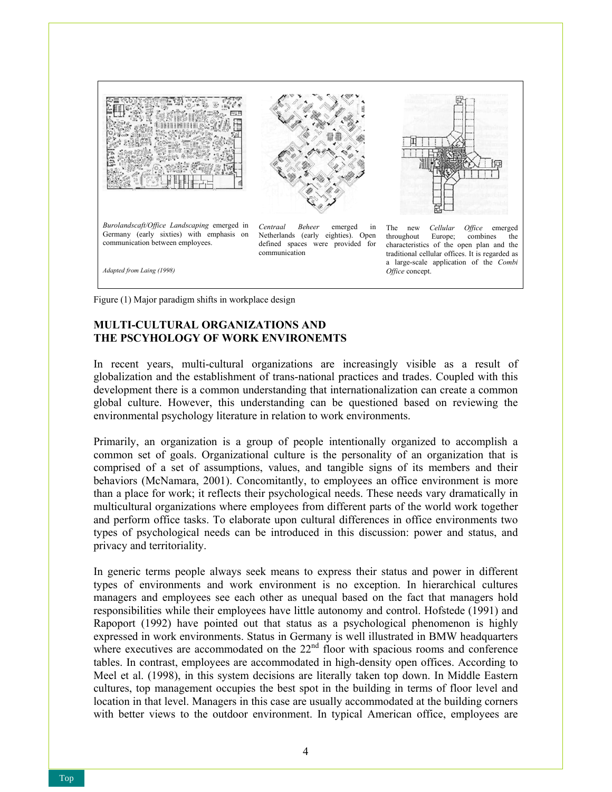

Figure (1) Major paradigm shifts in workplace design

# **MULTI-CULTURAL ORGANIZATIONS AND THE PSCYHOLOGY OF WORK ENVIRONEMTS**

In recent years, multi-cultural organizations are increasingly visible as a result of globalization and the establishment of trans-national practices and trades. Coupled with this development there is a common understanding that internationalization can create a common global culture. However, this understanding can be questioned based on reviewing the environmental psychology literature in relation to work environments.

Primarily, an organization is a group of people intentionally organized to accomplish a common set of goals. Organizational culture is the personality of an organization that is comprised of a set of assumptions, values, and tangible signs of its members and their behaviors (McNamara, 2001). Concomitantly, to employees an office environment is more than a place for work; it reflects their psychological needs. These needs vary dramatically in multicultural organizations where employees from different parts of the world work together and perform office tasks. To elaborate upon cultural differences in office environments two types of psychological needs can be introduced in this discussion: power and status, and privacy and territoriality.

In generic terms people always seek means to express their status and power in different types of environments and work environment is no exception. In hierarchical cultures managers and employees see each other as unequal based on the fact that managers hold responsibilities while their employees have little autonomy and control. Hofstede (1991) and Rapoport (1992) have pointed out that status as a psychological phenomenon is highly expressed in work environments. Status in Germany is well illustrated in BMW headquarters where executives are accommodated on the  $22<sup>nd</sup>$  floor with spacious rooms and conference tables. In contrast, employees are accommodated in high-density open offices. According to Meel et al. (1998), in this system decisions are literally taken top down. In Middle Eastern cultures, top management occupies the best spot in the building in terms of floor level and location in that level. Managers in this case are usually accommodated at the building corners with better views to the outdoor environment. In typical American office, employees are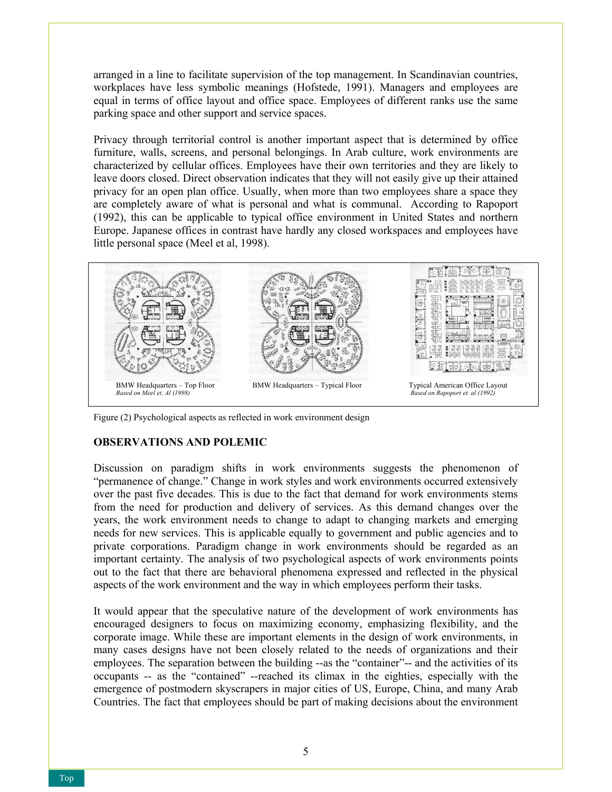arranged in a line to facilitate supervision of the top management. In Scandinavian countries, workplaces have less symbolic meanings (Hofstede, 1991). Managers and employees are equal in terms of office layout and office space. Employees of different ranks use the same parking space and other support and service spaces.

Privacy through territorial control is another important aspect that is determined by office furniture, walls, screens, and personal belongings. In Arab culture, work environments are characterized by cellular offices. Employees have their own territories and they are likely to leave doors closed. Direct observation indicates that they will not easily give up their attained privacy for an open plan office. Usually, when more than two employees share a space they are completely aware of what is personal and what is communal. According to Rapoport (1992), this can be applicable to typical office environment in United States and northern Europe. Japanese offices in contrast have hardly any closed workspaces and employees have little personal space (Meel et al, 1998).



Figure (2) Psychological aspects as reflected in work environment design

### **OBSERVATIONS AND POLEMIC**

Discussion on paradigm shifts in work environments suggests the phenomenon of "permanence of change." Change in work styles and work environments occurred extensively over the past five decades. This is due to the fact that demand for work environments stems from the need for production and delivery of services. As this demand changes over the years, the work environment needs to change to adapt to changing markets and emerging needs for new services. This is applicable equally to government and public agencies and to private corporations. Paradigm change in work environments should be regarded as an important certainty. The analysis of two psychological aspects of work environments points out to the fact that there are behavioral phenomena expressed and reflected in the physical aspects of the work environment and the way in which employees perform their tasks.

It would appear that the speculative nature of the development of work environments has encouraged designers to focus on maximizing economy, emphasizing flexibility, and the corporate image. While these are important elements in the design of work environments, in many cases designs have not been closely related to the needs of organizations and their employees. The separation between the building --as the "container"-- and the activities of its occupants -- as the "contained" --reached its climax in the eighties, especially with the emergence of postmodern skyscrapers in major cities of US, Europe, China, and many Arab Countries. The fact that employees should be part of making decisions about the environment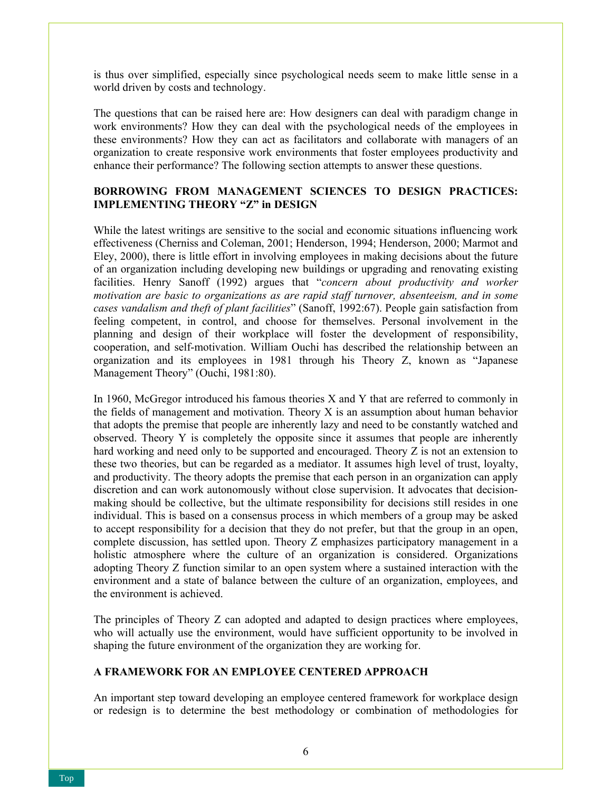is thus over simplified, especially since psychological needs seem to make little sense in a world driven by costs and technology.

The questions that can be raised here are: How designers can deal with paradigm change in work environments? How they can deal with the psychological needs of the employees in these environments? How they can act as facilitators and collaborate with managers of an organization to create responsive work environments that foster employees productivity and enhance their performance? The following section attempts to answer these questions.

# **BORROWING FROM MANAGEMENT SCIENCES TO DESIGN PRACTICES: IMPLEMENTING THEORY "Z" in DESIGN**

While the latest writings are sensitive to the social and economic situations influencing work effectiveness (Cherniss and Coleman, 2001; Henderson, 1994; Henderson, 2000; Marmot and Eley, 2000), there is little effort in involving employees in making decisions about the future of an organization including developing new buildings or upgrading and renovating existing facilities. Henry Sanoff (1992) argues that "*concern about productivity and worker motivation are basic to organizations as are rapid staff turnover, absenteeism, and in some cases vandalism and theft of plant facilities*" (Sanoff, 1992:67). People gain satisfaction from feeling competent, in control, and choose for themselves. Personal involvement in the planning and design of their workplace will foster the development of responsibility, cooperation, and self-motivation. William Ouchi has described the relationship between an organization and its employees in 1981 through his Theory Z, known as "Japanese Management Theory" (Ouchi, 1981:80).

In 1960, McGregor introduced his famous theories X and Y that are referred to commonly in the fields of management and motivation. Theory X is an assumption about human behavior that adopts the premise that people are inherently lazy and need to be constantly watched and observed. Theory Y is completely the opposite since it assumes that people are inherently hard working and need only to be supported and encouraged. Theory Z is not an extension to these two theories, but can be regarded as a mediator. It assumes high level of trust, loyalty, and productivity. The theory adopts the premise that each person in an organization can apply discretion and can work autonomously without close supervision. It advocates that decisionmaking should be collective, but the ultimate responsibility for decisions still resides in one individual. This is based on a consensus process in which members of a group may be asked to accept responsibility for a decision that they do not prefer, but that the group in an open, complete discussion, has settled upon. Theory Z emphasizes participatory management in a holistic atmosphere where the culture of an organization is considered. Organizations adopting Theory Z function similar to an open system where a sustained interaction with the environment and a state of balance between the culture of an organization, employees, and the environment is achieved.

The principles of Theory Z can adopted and adapted to design practices where employees, who will actually use the environment, would have sufficient opportunity to be involved in shaping the future environment of the organization they are working for.

# **A FRAMEWORK FOR AN EMPLOYEE CENTERED APPROACH**

An important step toward developing an employee centered framework for workplace design or redesign is to determine the best methodology or combination of methodologies for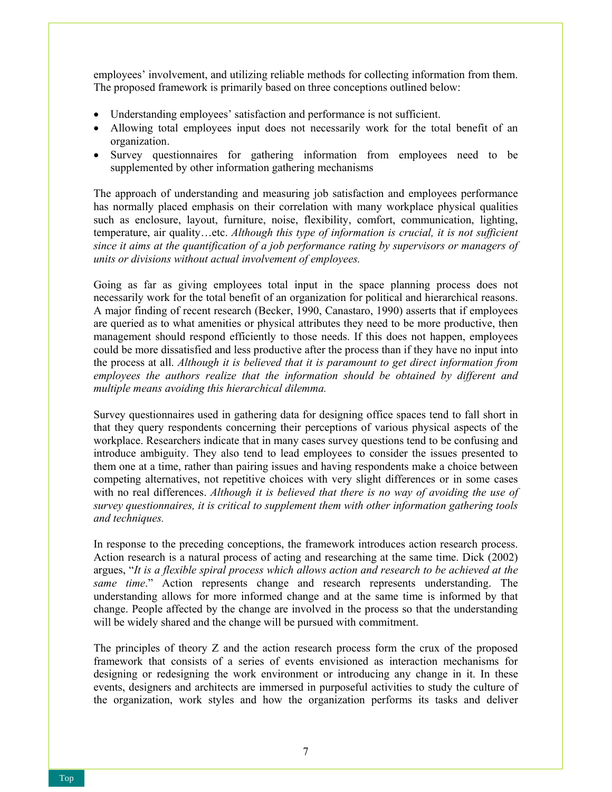employees' involvement, and utilizing reliable methods for collecting information from them. The proposed framework is primarily based on three conceptions outlined below:

- Understanding employees' satisfaction and performance is not sufficient.
- Allowing total employees input does not necessarily work for the total benefit of an organization.
- Survey questionnaires for gathering information from employees need to be supplemented by other information gathering mechanisms

The approach of understanding and measuring job satisfaction and employees performance has normally placed emphasis on their correlation with many workplace physical qualities such as enclosure, layout, furniture, noise, flexibility, comfort, communication, lighting, temperature, air quality…etc. *Although this type of information is crucial, it is not sufficient since it aims at the quantification of a job performance rating by supervisors or managers of units or divisions without actual involvement of employees.* 

Going as far as giving employees total input in the space planning process does not necessarily work for the total benefit of an organization for political and hierarchical reasons. A major finding of recent research (Becker, 1990, Canastaro, 1990) asserts that if employees are queried as to what amenities or physical attributes they need to be more productive, then management should respond efficiently to those needs. If this does not happen, employees could be more dissatisfied and less productive after the process than if they have no input into the process at all. *Although it is believed that it is paramount to get direct information from employees the authors realize that the information should be obtained by different and multiple means avoiding this hierarchical dilemma.* 

Survey questionnaires used in gathering data for designing office spaces tend to fall short in that they query respondents concerning their perceptions of various physical aspects of the workplace. Researchers indicate that in many cases survey questions tend to be confusing and introduce ambiguity. They also tend to lead employees to consider the issues presented to them one at a time, rather than pairing issues and having respondents make a choice between competing alternatives, not repetitive choices with very slight differences or in some cases with no real differences. *Although it is believed that there is no way of avoiding the use of survey questionnaires, it is critical to supplement them with other information gathering tools and techniques.* 

In response to the preceding conceptions, the framework introduces action research process. Action research is a natural process of acting and researching at the same time. Dick (2002) argues, "*It is a flexible spiral process which allows action and research to be achieved at the same time*." Action represents change and research represents understanding. The understanding allows for more informed change and at the same time is informed by that change. People affected by the change are involved in the process so that the understanding will be widely shared and the change will be pursued with commitment.

The principles of theory Z and the action research process form the crux of the proposed framework that consists of a series of events envisioned as interaction mechanisms for designing or redesigning the work environment or introducing any change in it. In these events, designers and architects are immersed in purposeful activities to study the culture of the organization, work styles and how the organization performs its tasks and deliver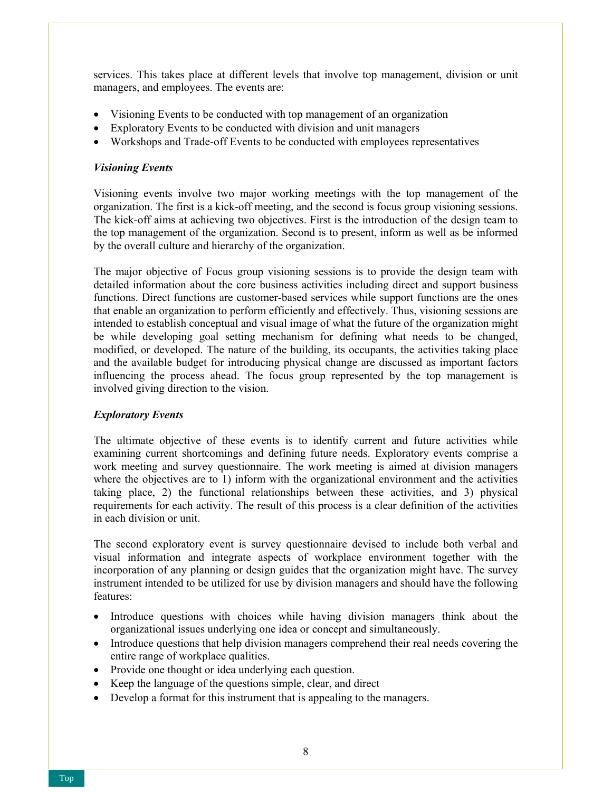services. This takes place at different levels that involve top management, division or unit managers, and employees. The events are:

- Visioning Events to be conducted with top management of an organization
- Exploratory Events to be conducted with division and unit managers
- Workshops and Trade-off Events to be conducted with employees representatives

### *Visioning Events*

Visioning events involve two major working meetings with the top management of the organization. The first is a kick-off meeting, and the second is focus group visioning sessions. The kick-off aims at achieving two objectives. First is the introduction of the design team to the top management of the organization. Second is to present, inform as well as be informed by the overall culture and hierarchy of the organization.

The major objective of Focus group visioning sessions is to provide the design team with detailed information about the core business activities including direct and support business functions. Direct functions are customer-based services while support functions are the ones that enable an organization to perform efficiently and effectively. Thus, visioning sessions are intended to establish conceptual and visual image of what the future of the organization might be while developing goal setting mechanism for defining what needs to be changed, modified, or developed. The nature of the building, its occupants, the activities taking place and the available budget for introducing physical change are discussed as important factors influencing the process ahead. The focus group represented by the top management is involved giving direction to the vision.

### *Exploratory Events*

The ultimate objective of these events is to identify current and future activities while examining current shortcomings and defining future needs. Exploratory events comprise a work meeting and survey questionnaire. The work meeting is aimed at division managers where the objectives are to 1) inform with the organizational environment and the activities taking place, 2) the functional relationships between these activities, and 3) physical requirements for each activity. The result of this process is a clear definition of the activities in each division or unit.

The second exploratory event is survey questionnaire devised to include both verbal and visual information and integrate aspects of workplace environment together with the incorporation of any planning or design guides that the organization might have. The survey instrument intended to be utilized for use by division managers and should have the following features:

- Introduce questions with choices while having division managers think about the organizational issues underlying one idea or concept and simultaneously.
- Introduce questions that help division managers comprehend their real needs covering the entire range of workplace qualities.
- Provide one thought or idea underlying each question.
- Keep the language of the questions simple, clear, and direct
- Develop a format for this instrument that is appealing to the managers.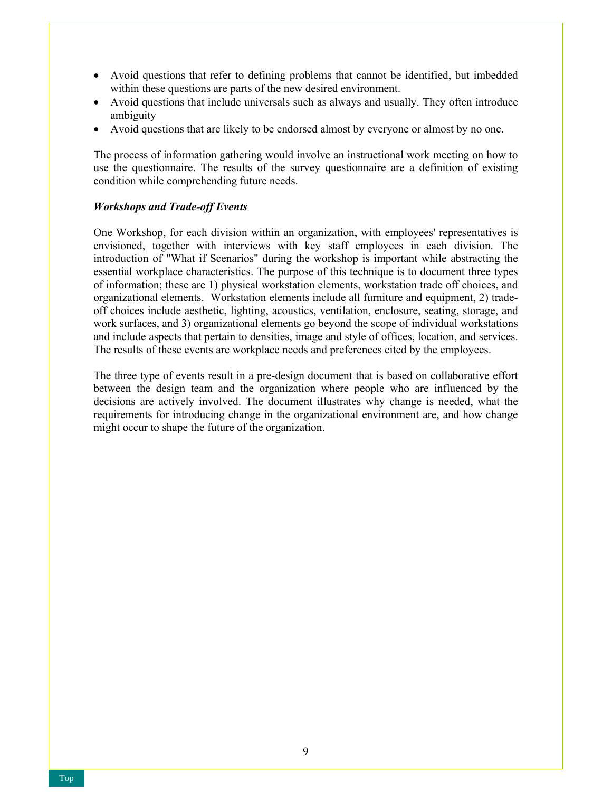- Avoid questions that refer to defining problems that cannot be identified, but imbedded within these questions are parts of the new desired environment.
- Avoid questions that include universals such as always and usually. They often introduce ambiguity
- Avoid questions that are likely to be endorsed almost by everyone or almost by no one.

The process of information gathering would involve an instructional work meeting on how to use the questionnaire. The results of the survey questionnaire are a definition of existing condition while comprehending future needs.

# *Workshops and Trade-off Events*

One Workshop, for each division within an organization, with employees' representatives is envisioned, together with interviews with key staff employees in each division. The introduction of "What if Scenarios" during the workshop is important while abstracting the essential workplace characteristics. The purpose of this technique is to document three types of information; these are 1) physical workstation elements, workstation trade off choices, and organizational elements. Workstation elements include all furniture and equipment, 2) tradeoff choices include aesthetic, lighting, acoustics, ventilation, enclosure, seating, storage, and work surfaces, and 3) organizational elements go beyond the scope of individual workstations and include aspects that pertain to densities, image and style of offices, location, and services. The results of these events are workplace needs and preferences cited by the employees.

The three type of events result in a pre-design document that is based on collaborative effort between the design team and the organization where people who are influenced by the decisions are actively involved. The document illustrates why change is needed, what the requirements for introducing change in the organizational environment are, and how change might occur to shape the future of the organization.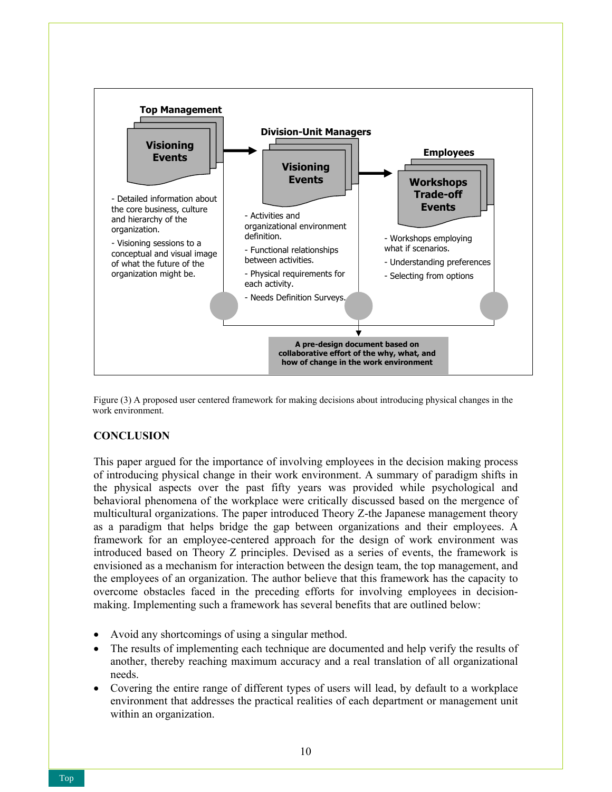



### **CONCLUSION**

This paper argued for the importance of involving employees in the decision making process of introducing physical change in their work environment. A summary of paradigm shifts in the physical aspects over the past fifty years was provided while psychological and behavioral phenomena of the workplace were critically discussed based on the mergence of multicultural organizations. The paper introduced Theory Z-the Japanese management theory as a paradigm that helps bridge the gap between organizations and their employees. A framework for an employee-centered approach for the design of work environment was introduced based on Theory Z principles. Devised as a series of events, the framework is envisioned as a mechanism for interaction between the design team, the top management, and the employees of an organization. The author believe that this framework has the capacity to overcome obstacles faced in the preceding efforts for involving employees in decisionmaking. Implementing such a framework has several benefits that are outlined below:

- Avoid any shortcomings of using a singular method.
- The results of implementing each technique are documented and help verify the results of another, thereby reaching maximum accuracy and a real translation of all organizational needs.
- Covering the entire range of different types of users will lead, by default to a workplace environment that addresses the practical realities of each department or management unit within an organization.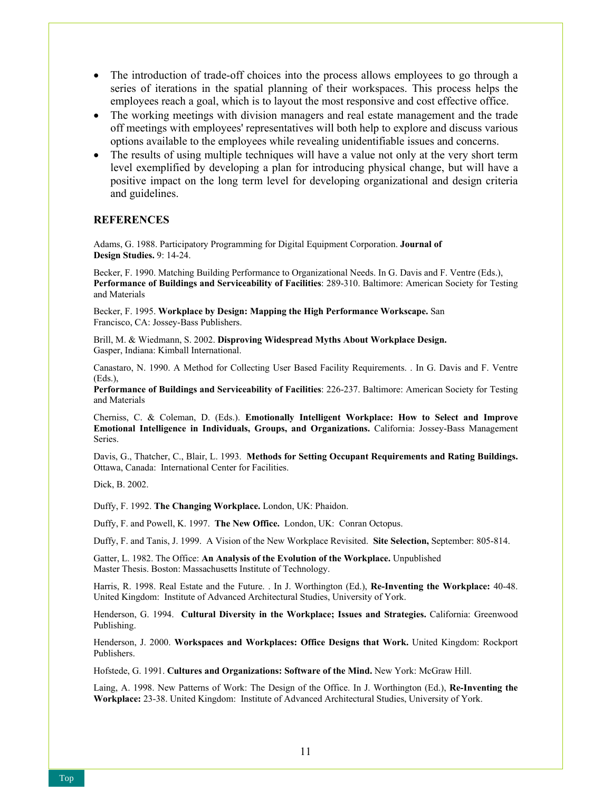- The introduction of trade-off choices into the process allows employees to go through a series of iterations in the spatial planning of their workspaces. This process helps the employees reach a goal, which is to layout the most responsive and cost effective office.
- The working meetings with division managers and real estate management and the trade off meetings with employees' representatives will both help to explore and discuss various options available to the employees while revealing unidentifiable issues and concerns.
- The results of using multiple techniques will have a value not only at the very short term level exemplified by developing a plan for introducing physical change, but will have a positive impact on the long term level for developing organizational and design criteria and guidelines.

### **REFERENCES**

Adams, G. 1988. Participatory Programming for Digital Equipment Corporation. **Journal of Design Studies.** 9: 14-24.

Becker, F. 1990. Matching Building Performance to Organizational Needs. In G. Davis and F. Ventre (Eds.), **Performance of Buildings and Serviceability of Facilities**: 289-310. Baltimore: American Society for Testing and Materials

Becker, F. 1995. **Workplace by Design: Mapping the High Performance Workscape.** San Francisco, CA: Jossey-Bass Publishers.

Brill, M. & Wiedmann, S. 2002. **Disproving Widespread Myths About Workplace Design.** Gasper, Indiana: Kimball International.

Canastaro, N. 1990. A Method for Collecting User Based Facility Requirements. . In G. Davis and F. Ventre (Eds.),

**Performance of Buildings and Serviceability of Facilities**: 226-237. Baltimore: American Society for Testing and Materials

Cherniss, C. & Coleman, D. (Eds.). **Emotionally Intelligent Workplace: How to Select and Improve Emotional Intelligence in Individuals, Groups, and Organizations.** California: Jossey-Bass Management Series.

Davis, G., Thatcher, C., Blair, L. 1993. **Methods for Setting Occupant Requirements and Rating Buildings.** Ottawa, Canada: International Center for Facilities.

Dick, B. 2002.

Duffy, F. 1992. **The Changing Workplace.** London, UK: Phaidon.

Duffy, F. and Powell, K. 1997. **The New Office.** London, UK: Conran Octopus.

Duffy, F. and Tanis, J. 1999. A Vision of the New Workplace Revisited. **Site Selection,** September: 805-814.

Gatter, L. 1982. The Office: **An Analysis of the Evolution of the Workplace.** Unpublished Master Thesis. Boston: Massachusetts Institute of Technology.

Harris, R. 1998. Real Estate and the Future. . In J. Worthington (Ed.), **Re-Inventing the Workplace:** 40-48. United Kingdom: Institute of Advanced Architectural Studies, University of York.

Henderson, G. 1994. **Cultural Diversity in the Workplace; Issues and Strategies.** California: Greenwood Publishing.

Henderson, J. 2000. **Workspaces and Workplaces: Office Designs that Work.** United Kingdom: Rockport Publishers.

Hofstede, G. 1991. **Cultures and Organizations: Software of the Mind.** New York: McGraw Hill.

Laing, A. 1998. New Patterns of Work: The Design of the Office. In J. Worthington (Ed.), **Re-Inventing the Workplace:** 23-38. United Kingdom: Institute of Advanced Architectural Studies, University of York.